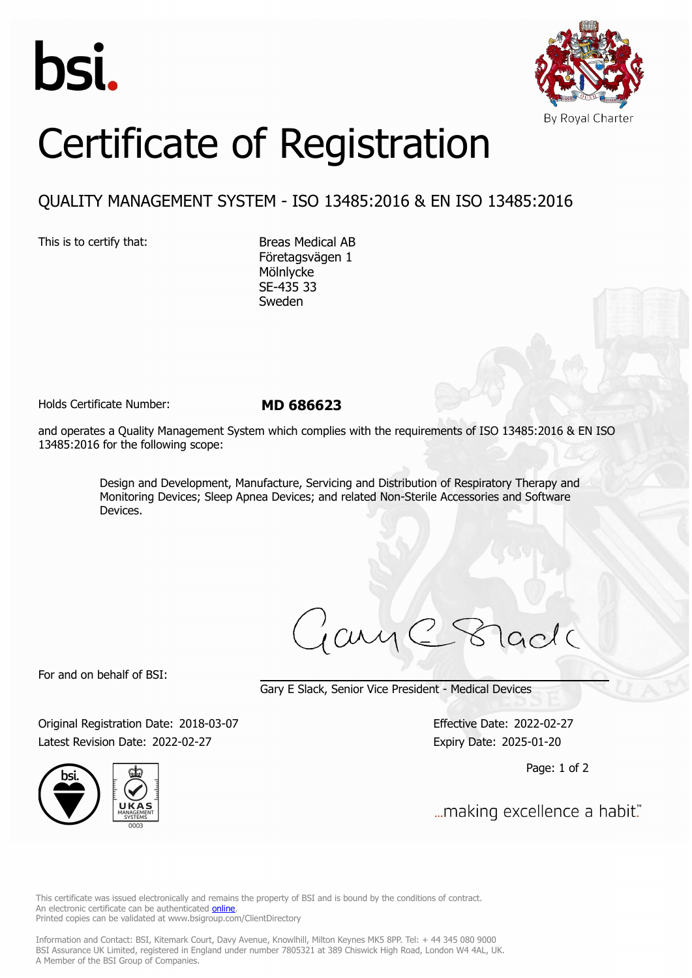



## Certificate of Registration

## QUALITY MANAGEMENT SYSTEM - ISO 13485:2016 & EN ISO 13485:2016

This is to certify that: Breas Medical AB

Företagsvägen 1 Mölnlycke SE-435 33 Sweden

Holds Certificate Number: **MD 686623**

and operates a Quality Management System which complies with the requirements of ISO 13485:2016 & EN ISO 13485:2016 for the following scope:

> Design and Development, Manufacture, Servicing and Distribution of Respiratory Therapy and Monitoring Devices; Sleep Apnea Devices; and related Non-Sterile Accessories and Software Devices.

For and on behalf of BSI:

Gary E Slack, Senior Vice President - Medical Devices

Original Registration Date: 2018-03-07 Effective Date: 2022-02-27 Latest Revision Date: 2022-02-27 Expiry Date: 2025-01-20



Page: 1 of 2

... making excellence a habit."

This certificate was issued electronically and remains the property of BSI and is bound by the conditions of contract. An electronic certificate can be authenticated **[online](https://pgplus.bsigroup.com/CertificateValidation/CertificateValidator.aspx?CertificateNumber=MD+686623&ReIssueDate=27%2f02%2f2022&Template=uk)**. Printed copies can be validated at www.bsigroup.com/ClientDirectory

Information and Contact: BSI, Kitemark Court, Davy Avenue, Knowlhill, Milton Keynes MK5 8PP. Tel: + 44 345 080 9000 BSI Assurance UK Limited, registered in England under number 7805321 at 389 Chiswick High Road, London W4 4AL, UK. A Member of the BSI Group of Companies.